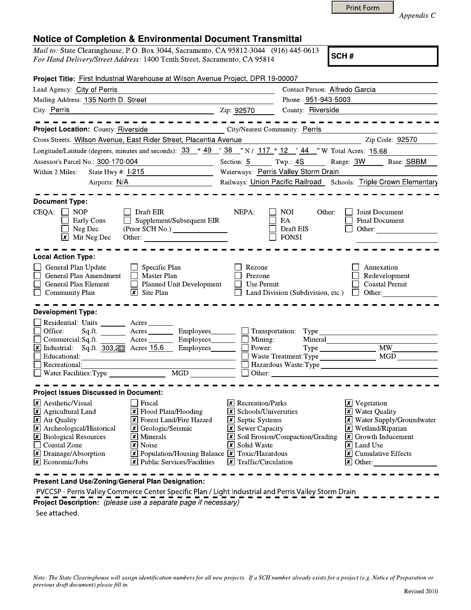| Appendix C |  |
|------------|--|
|------------|--|

## **Notice of Completion & Environmental Document Transmittal**

*Mail to:* State Clearinghouse, P.O. Box 3044, Sacramento, CA 95812-3044 (916) 445-0613 *For Hand Delivery/Street Address:* 1400 Tenth Street, Sacramento, CA 95814

Print Form

| Project Title: First Industrial Warehouse at Wilson Avenue Project, DPR 19-00007                                                                                                                                                                                                                                                                                                                                                                                                                                                            |                                                                                                                                                                                                                                          |                                                                   |                                                                                                                                                                                                                                                        |
|---------------------------------------------------------------------------------------------------------------------------------------------------------------------------------------------------------------------------------------------------------------------------------------------------------------------------------------------------------------------------------------------------------------------------------------------------------------------------------------------------------------------------------------------|------------------------------------------------------------------------------------------------------------------------------------------------------------------------------------------------------------------------------------------|-------------------------------------------------------------------|--------------------------------------------------------------------------------------------------------------------------------------------------------------------------------------------------------------------------------------------------------|
| Lead Agency: City of Perris                                                                                                                                                                                                                                                                                                                                                                                                                                                                                                                 |                                                                                                                                                                                                                                          | Contact Person: Alfredo Garcia                                    |                                                                                                                                                                                                                                                        |
| Mailing Address: 135 North D. Street                                                                                                                                                                                                                                                                                                                                                                                                                                                                                                        |                                                                                                                                                                                                                                          | Phone: 951-943-5003                                               |                                                                                                                                                                                                                                                        |
| $\frac{1}{2}$ $\frac{1}{2}$ $\frac{1}{2}$ $\frac{1}{2}$ $\frac{1}{2}$ $\frac{1}{2}$ $\frac{1}{2}$ $\frac{1}{2}$ $\frac{1}{2}$ $\frac{1}{2}$ $\frac{1}{2}$ $\frac{1}{2}$ $\frac{1}{2}$ $\frac{1}{2}$ $\frac{1}{2}$ $\frac{1}{2}$ $\frac{1}{2}$ $\frac{1}{2}$ $\frac{1}{2}$ $\frac{1}{2}$ $\frac{1}{2}$ $\frac{1}{2}$<br>City: Perris                                                                                                                                                                                                         |                                                                                                                                                                                                                                          | County: Riverside                                                 |                                                                                                                                                                                                                                                        |
| <u>------------------</u> .<br>Project Location: County: Riverside<br>City/Nearest Community: Perris<br>Cross Streets: Wilson Avenue, East Rider Street, Placentia Avenue                                                                                                                                                                                                                                                                                                                                                                   |                                                                                                                                                                                                                                          |                                                                   | - - - - - - - -<br>Zip Code: 92570                                                                                                                                                                                                                     |
| Longitude/Latitude (degrees, minutes and seconds): $\frac{33}{9}$ $\frac{49}{9}$ $\frac{738}{38}$ N / $\frac{117}{9}$ $\frac{9}{2}$ $\frac{12}{44}$ W Total Acres: 15.68                                                                                                                                                                                                                                                                                                                                                                    |                                                                                                                                                                                                                                          |                                                                   |                                                                                                                                                                                                                                                        |
|                                                                                                                                                                                                                                                                                                                                                                                                                                                                                                                                             |                                                                                                                                                                                                                                          |                                                                   |                                                                                                                                                                                                                                                        |
| Assessor's Parcel No.: 300-170-004                                                                                                                                                                                                                                                                                                                                                                                                                                                                                                          |                                                                                                                                                                                                                                          |                                                                   | Section: 5 Twp.: 4S Range: 3W Base: SBBM                                                                                                                                                                                                               |
| Within 2 Miles:<br>State Hwy #: 1-215                                                                                                                                                                                                                                                                                                                                                                                                                                                                                                       | Waterways: Perris Valley Storm Drain<br>Railways: Union Pacific Railroad Schools: Triple Crown Elementary                                                                                                                                |                                                                   |                                                                                                                                                                                                                                                        |
| Airports: N/A<br><u> 1990 - Johann Barbara, politik eta politik eta politik eta politik eta politik eta politik eta politik eta p</u>                                                                                                                                                                                                                                                                                                                                                                                                       |                                                                                                                                                                                                                                          |                                                                   |                                                                                                                                                                                                                                                        |
| <b>Document Type:</b><br>$CEQA: \Box$<br><b>NOP</b><br>Draft EIR<br>$\Box$ Supplement/Subsequent EIR<br>Early Cons<br>Neg Dec<br>$\mathbf{\times}$ Mit Neg Dec                                                                                                                                                                                                                                                                                                                                                                              | NEPA:                                                                                                                                                                                                                                    | NOI.<br>Other:<br>EA<br>Draft EIS<br><b>FONSI</b>                 | Joint Document<br><b>Final Document</b><br>Other:                                                                                                                                                                                                      |
| <b>Local Action Type:</b>                                                                                                                                                                                                                                                                                                                                                                                                                                                                                                                   |                                                                                                                                                                                                                                          |                                                                   |                                                                                                                                                                                                                                                        |
| $\Box$ Specific Plan<br>General Plan Update<br>General Plan Amendment<br>Master Plan<br>Planned Unit Development<br>General Plan Element<br>$\overline{\mathsf{x}}$ Site Plan<br>$\Box$ Community Plan                                                                                                                                                                                                                                                                                                                                      | Rezone<br>Prezone<br>    Use Permit                                                                                                                                                                                                      | Land Division (Subdivision, etc.)                                 | Annexation<br>Redevelopment<br><b>Coastal Permit</b><br>$\blacksquare$ Other:                                                                                                                                                                          |
| <b>Development Type:</b>                                                                                                                                                                                                                                                                                                                                                                                                                                                                                                                    |                                                                                                                                                                                                                                          |                                                                   |                                                                                                                                                                                                                                                        |
| Residential: Units Acres<br>Office:<br>Sq.ft. <u>Acres</u><br>Commercial: Sq.ft. $\overline{\mathbf{X}$ Acres $\overline{\mathbf{X}}$ Industrial: Sq.ft. $\overline{303,2}$ . Acres 15.6<br>Employees________<br>Employees________                                                                                                                                                                                                                                                                                                          | Employees________ _ Transportation: Type<br>$\Box$ Mining:<br>Power:<br>$\Box$ Other:                                                                                                                                                    | Mineral<br>Hazardous Waste:Type<br><u>and a strategic product</u> | <b>MW</b><br>MGD                                                                                                                                                                                                                                       |
| <b>Project Issues Discussed in Document:</b>                                                                                                                                                                                                                                                                                                                                                                                                                                                                                                |                                                                                                                                                                                                                                          |                                                                   |                                                                                                                                                                                                                                                        |
| $\vert x \vert$ Aesthetic/Visual<br>l Fiscal<br>$\boxed{\mathbf{x}}$ Agricultural Land<br>X Flood Plain/Flooding<br>X Air Quality<br><b>X</b> Forest Land/Fire Hazard<br>X Archeological/Historical<br>$\vert x \vert$ Geologic/Seismic<br>X Biological Resources<br>$\overline{\mathbf{x}}$ Minerals<br>Coastal Zone<br><b> x </b> Noise<br>X Drainage/Absorption<br>$\boxed{\mathbf{X}}$ Population/Housing Balance $\boxed{\mathbf{X}}$ Toxic/Hazardous<br>$\mathbf{\times}$ Economic/Jobs<br>$\vert x \vert$ Public Services/Facilities | $\boxed{\mathsf{x}}$ Recreation/Parks<br>$\boxed{\mathbf{x}}$ Schools/Universities<br>$\boxed{\mathsf{x}}$ Septic Systems<br>$\overline{\mathbf{x}}$ Sewer Capacity<br>$ \mathbf{x} $ Solid Waste<br>$\vert x \vert$ Traffic/Circulation | $\overline{\mathbf{x}}$ Soil Erosion/Compaction/Grading           | <b>x</b> Vegetation<br><b>X</b> Water Quality<br><b>X</b> Water Supply/Groundwater<br>$\mathbf{\times}$ Wetland/Riparian<br>$\boxed{\mathbf{x}}$ Growth Inducement<br>$ x $ Land Use<br>$\vert x \vert$ Cumulative Effects<br>$\mathbf{\times}$ Other: |

**Present Land Use/Zoning/General Plan Designation:**

PVCCSP - Perris Valley Commerce Center Specific Plan / Light Industrial and Perris Valley Storm Drain **Project Description:** *(please use a separate page if necessary)*

See attached.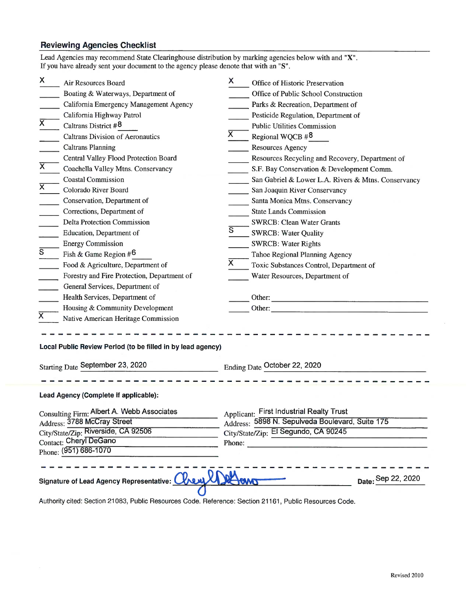## Reviewing Agencies Checklist

| Lead Agencies may recommend State Clearinghouse distribution by marking agencies below with and "X".<br>If you have already sent your document to the agency please denote that with an "S". |                                                                                                                                                                                                                                                                                                                                                                                                                                                                                                                                                                                                                                                                                                                                                                                       |                                         |                                                                                                                                                                                                                                                                                                                                                                                                                                                                                                                                                                                                                                                                                                                                    |  |  |  |
|----------------------------------------------------------------------------------------------------------------------------------------------------------------------------------------------|---------------------------------------------------------------------------------------------------------------------------------------------------------------------------------------------------------------------------------------------------------------------------------------------------------------------------------------------------------------------------------------------------------------------------------------------------------------------------------------------------------------------------------------------------------------------------------------------------------------------------------------------------------------------------------------------------------------------------------------------------------------------------------------|-----------------------------------------|------------------------------------------------------------------------------------------------------------------------------------------------------------------------------------------------------------------------------------------------------------------------------------------------------------------------------------------------------------------------------------------------------------------------------------------------------------------------------------------------------------------------------------------------------------------------------------------------------------------------------------------------------------------------------------------------------------------------------------|--|--|--|
| X.<br>$\overline{\mathsf{x}}$<br>$\overline{\mathsf{x}}$<br>X<br>$\overline{s}$                                                                                                              | Air Resources Board<br>Boating & Waterways, Department of<br>California Emergency Management Agency<br>California Highway Patrol<br>Caltrans District #8<br><b>Caltrans Division of Aeronautics</b><br><b>Caltrans Planning</b><br>Central Valley Flood Protection Board<br>Coachella Valley Mtns. Conservancy<br><b>Coastal Commission</b><br>Colorado River Board<br>Conservation, Department of<br>Corrections, Department of<br>Delta Protection Commission<br>Education, Department of<br><b>Energy Commission</b><br>Fish & Game Region $#6$<br>Food & Agriculture, Department of<br>Forestry and Fire Protection, Department of<br>General Services, Department of<br>Health Services, Department of<br>Housing & Community Development<br>Native American Heritage Commission | X.<br>Х<br>$\overline{\mathsf{s}}$<br>Х | Office of Historic Preservation<br>Office of Public School Construction<br>Parks & Recreation, Department of<br>Pesticide Regulation, Department of<br><b>Public Utilities Commission</b><br>Regional WQCB $#8$<br>Resources Agency<br>Resources Recycling and Recovery, Department of<br>S.F. Bay Conservation & Development Comm.<br>San Gabriel & Lower L.A. Rivers & Mtns. Conservancy<br>San Joaquin River Conservancy<br>Santa Monica Mtns. Conservancy<br><b>State Lands Commission</b><br><b>SWRCB: Clean Water Grants</b><br><b>SWRCB: Water Quality</b><br><b>SWRCB: Water Rights</b><br>Tahoe Regional Planning Agency<br>Toxic Substances Control, Department of<br>Water Resources, Department of<br>Other:<br>Other: |  |  |  |
| Local Public Review Period (to be filled in by lead agency)                                                                                                                                  |                                                                                                                                                                                                                                                                                                                                                                                                                                                                                                                                                                                                                                                                                                                                                                                       |                                         |                                                                                                                                                                                                                                                                                                                                                                                                                                                                                                                                                                                                                                                                                                                                    |  |  |  |
| Starting Date September 23, 2020<br>Ending Date October 22, 2020                                                                                                                             |                                                                                                                                                                                                                                                                                                                                                                                                                                                                                                                                                                                                                                                                                                                                                                                       |                                         |                                                                                                                                                                                                                                                                                                                                                                                                                                                                                                                                                                                                                                                                                                                                    |  |  |  |
| Lead Agency (Complete if applicable):                                                                                                                                                        |                                                                                                                                                                                                                                                                                                                                                                                                                                                                                                                                                                                                                                                                                                                                                                                       |                                         |                                                                                                                                                                                                                                                                                                                                                                                                                                                                                                                                                                                                                                                                                                                                    |  |  |  |
|                                                                                                                                                                                              | Consulting Firm: Albert A. Webb Associates<br><b>Applicant: First Industrial Realty Trust</b><br>Address: 5898 N. Sepulveda Boulevard, Suite 175<br>Address: 3788 McCray Street<br>City/State/Zip: Riverside, CA 92506<br>City/State/Zip: El Segundo, CA 90245<br>Contact: Cheryl DeGano<br>Phone:<br>Phone: (951) 686-1070                                                                                                                                                                                                                                                                                                                                                                                                                                                           |                                         |                                                                                                                                                                                                                                                                                                                                                                                                                                                                                                                                                                                                                                                                                                                                    |  |  |  |
| Signature of Lead Agency Representative: ON<br>Date: Sep 22, 2020                                                                                                                            |                                                                                                                                                                                                                                                                                                                                                                                                                                                                                                                                                                                                                                                                                                                                                                                       |                                         |                                                                                                                                                                                                                                                                                                                                                                                                                                                                                                                                                                                                                                                                                                                                    |  |  |  |

Authority cited: Section 21083, Public Resources Code. Reference: Section 21161, Public Resources Code.